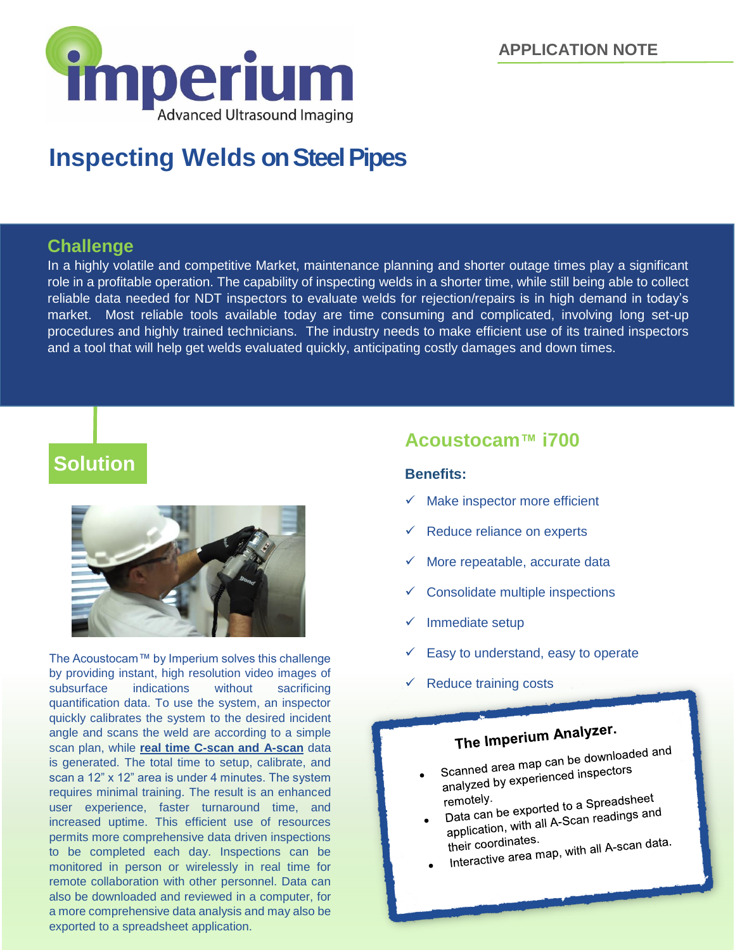**APPLICATION NOTE**



# **Inspecting Welds on Steel Pipes**

### **Challenge**

In a highly volatile and competitive Market, maintenance planning and shorter outage times play a significant role in a profitable operation. The capability of inspecting welds in a shorter time, while still being able to collect reliable data needed for NDT inspectors to evaluate welds for rejection/repairs is in high demand in today's market. Most reliable tools available today are time consuming and complicated, involving long set-up procedures and highly trained technicians. The industry needs to make efficient use of its trained inspectors and a tool that will help get welds evaluated quickly, anticipating costly damages and down times.

# **Solution**



The Acoustocam™ by Imperium solves this challenge by providing instant, high resolution video images of subsurface indications without sacrificing quantification data. To use the system, an inspector quickly calibrates the system to the desired incident angle and scans the weld are according to a simple scan plan, while **real time C-scan and A-scan** data is generated. The total time to setup, calibrate, and scan a 12" x 12" area is under 4 minutes. The system requires minimal training. The result is an enhanced user experience, faster turnaround time, and increased uptime. This efficient use of resources permits more comprehensive data driven inspections to be completed each day. Inspections can be monitored in person or wirelessly in real time for remote collaboration with other personnel. Data can also be downloaded and reviewed in a computer, for a more comprehensive data analysis and may also be exported to a spreadsheet application.

## **Acoustocam™ i700**

#### **Benefits:**

- Make inspector more efficient
- Reduce reliance on experts
- $\checkmark$  More repeatable, accurate data
- Consolidate multiple inspections
- Immediate setup
- Easy to understand, easy to operate
- Reduce training costs

# The Imperium Analyzer.

- Scanned area map can be downloaded and<br>Scanned area map can be downloaded and Scanned area map can be dome<br>analyzed by experienced inspectors
- remotely.<br>Data can be exported to a Spreadsheet<br>Data can be exported to a Spreadings and Data can be exported to a Spieadore<br>application, with all A-Scan readings and<br>application, with all A-Scan readings
- their coordinates. application,<br>their coordinates.<br>Interactive area map, with all A-scan data.
-